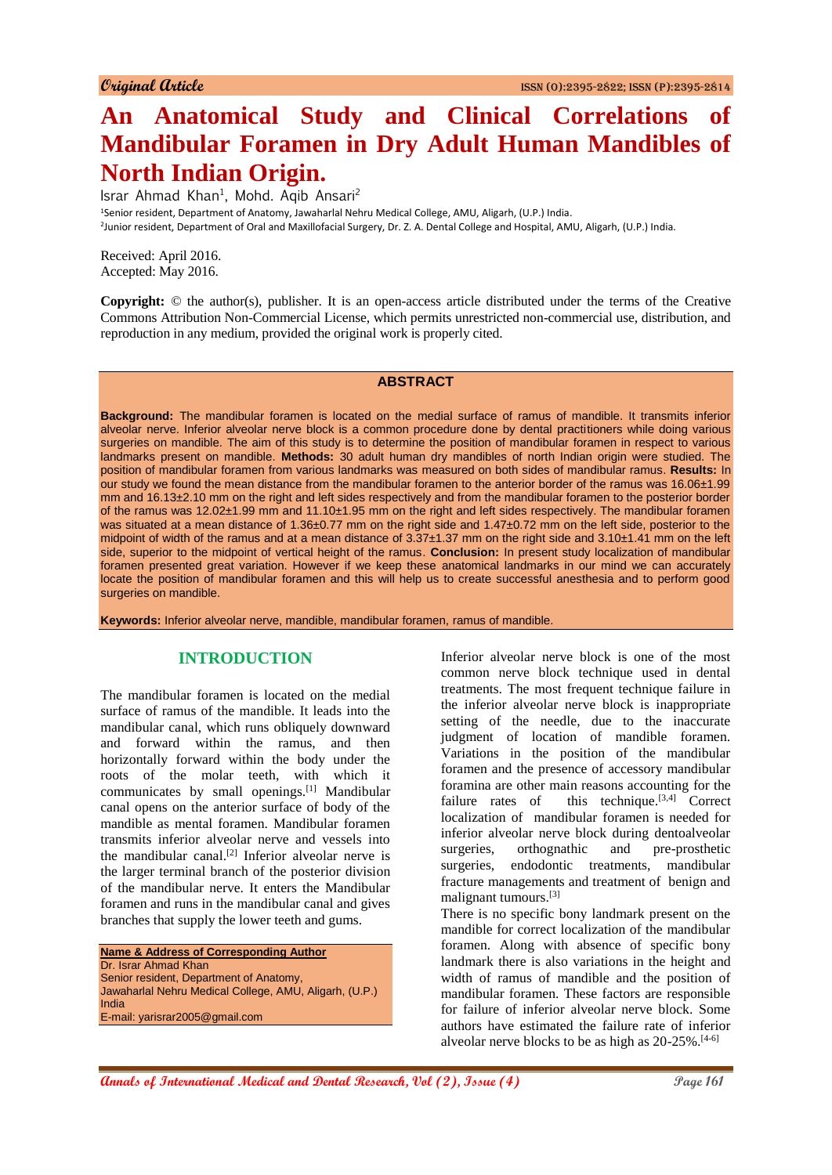# **An Anatomical Study and Clinical Correlations of Mandibular Foramen in Dry Adult Human Mandibles of North Indian Origin.**

Israr Ahmad Khan<sup>1</sup>, Mohd. Aqib Ansari<sup>2</sup>

<sup>1</sup>Senior resident, Department of Anatomy, Jawaharlal Nehru Medical College, AMU, Aligarh, (U.P.) India. 2 Junior resident, Department of Oral and Maxillofacial Surgery, Dr. Z. A. Dental College and Hospital, AMU, Aligarh, (U.P.) India.

Received: April 2016. Accepted: May 2016.

**Copyright:** © the author(s), publisher. It is an open-access article distributed under the terms of the Creative Commons Attribution Non-Commercial License, which permits unrestricted non-commercial use, distribution, and reproduction in any medium, provided the original work is properly cited.

#### **ABSTRACT**

**Background:** The mandibular foramen is located on the medial surface of ramus of mandible. It transmits inferior alveolar nerve. Inferior alveolar nerve block is a common procedure done by dental practitioners while doing various surgeries on mandible. The aim of this study is to determine the position of mandibular foramen in respect to various landmarks present on mandible. **Methods:** 30 adult human dry mandibles of north Indian origin were studied. The position of mandibular foramen from various landmarks was measured on both sides of mandibular ramus. **Results:** In our study we found the mean distance from the mandibular foramen to the anterior border of the ramus was 16.06±1.99 mm and 16.13±2.10 mm on the right and left sides respectively and from the mandibular foramen to the posterior border of the ramus was 12.02±1.99 mm and 11.10±1.95 mm on the right and left sides respectively. The mandibular foramen was situated at a mean distance of 1.36±0.77 mm on the right side and 1.47±0.72 mm on the left side, posterior to the midpoint of width of the ramus and at a mean distance of 3.37±1.37 mm on the right side and 3.10±1.41 mm on the left side, superior to the midpoint of vertical height of the ramus. **Conclusion:** In present study localization of mandibular foramen presented great variation. However if we keep these anatomical landmarks in our mind we can accurately locate the position of mandibular foramen and this will help us to create successful anesthesia and to perform good surgeries on mandible.

**Keywords:** Inferior alveolar nerve, mandible, mandibular foramen, ramus of mandible.

# **INTRODUCTION**

The mandibular foramen is located on the medial surface of ramus of the mandible. It leads into the mandibular canal, which runs obliquely downward and forward within the ramus, and then horizontally forward within the body under the roots of the molar teeth, with which it communicates by small openings.[1] Mandibular canal opens on the anterior surface of body of the mandible as mental foramen. Mandibular foramen transmits inferior alveolar nerve and vessels into the mandibular canal.<sup>[2]</sup> Inferior alveolar nerve is the larger terminal branch of the posterior division of the mandibular nerve. It enters the Mandibular foramen and runs in the mandibular canal and gives branches that supply the lower teeth and gums.

**Name & Address of Corresponding Author** Dr. Israr Ahmad Khan Senior resident, Department of Anatomy, Jawaharlal Nehru Medical College, AMU, Aligarh, (U.P.) India E-mail: yarisrar2005@gmail.com

Inferior alveolar nerve block is one of the most common nerve block technique used in dental treatments. The most frequent technique failure in the inferior alveolar nerve block is inappropriate setting of the needle, due to the inaccurate judgment of location of mandible foramen. Variations in the position of the mandibular foramen and the presence of accessory mandibular foramina are other main reasons accounting for the failure rates of this technique. $[3,4]$  Correct localization of mandibular foramen is needed for inferior alveolar nerve block during dentoalveolar surgeries, orthognathic and pre-prosthetic surgeries, endodontic treatments, mandibular fracture managements and treatment of benign and malignant tumours.[3]

There is no specific bony landmark present on the mandible for correct localization of the mandibular foramen. Along with absence of specific bony landmark there is also variations in the height and width of ramus of mandible and the position of mandibular foramen. These factors are responsible for failure of inferior alveolar nerve block. Some authors have estimated the failure rate of inferior alveolar nerve blocks to be as high as  $20-25\%$ . [4-6]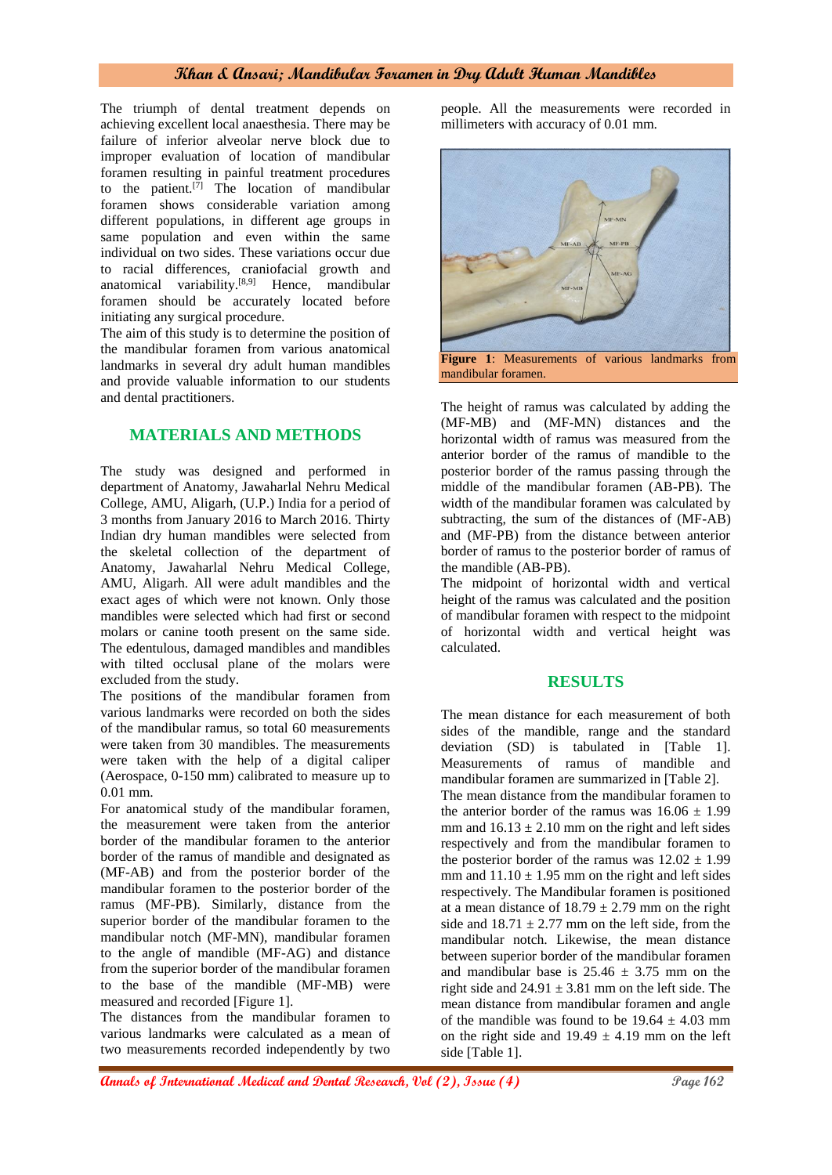## **Khan & Ansari; Mandibular Foramen in Dry Adult Human Mandibles**

The triumph of dental treatment depends on achieving excellent local anaesthesia. There may be failure of inferior alveolar nerve block due to improper evaluation of location of mandibular foramen resulting in painful treatment procedures to the patient.<sup>[7]</sup> The location of mandibular foramen shows considerable variation among different populations, in different age groups in same population and even within the same individual on two sides. These variations occur due to racial differences, craniofacial growth and anatomical variability.[8,9] Hence, mandibular foramen should be accurately located before initiating any surgical procedure.

The aim of this study is to determine the position of the mandibular foramen from various anatomical landmarks in several dry adult human mandibles and provide valuable information to our students and dental practitioners.

# **MATERIALS AND METHODS**

The study was designed and performed in department of Anatomy, Jawaharlal Nehru Medical College, AMU, Aligarh, (U.P.) India for a period of 3 months from January 2016 to March 2016. Thirty Indian dry human mandibles were selected from the skeletal collection of the department of Anatomy, Jawaharlal Nehru Medical College, AMU, Aligarh. All were adult mandibles and the exact ages of which were not known. Only those mandibles were selected which had first or second molars or canine tooth present on the same side. The edentulous, damaged mandibles and mandibles with tilted occlusal plane of the molars were excluded from the study.

The positions of the mandibular foramen from various landmarks were recorded on both the sides of the mandibular ramus, so total 60 measurements were taken from 30 mandibles. The measurements were taken with the help of a digital caliper (Aerospace, 0-150 mm) calibrated to measure up to 0.01 mm.

For anatomical study of the mandibular foramen, the measurement were taken from the anterior border of the mandibular foramen to the anterior border of the ramus of mandible and designated as (MF-AB) and from the posterior border of the mandibular foramen to the posterior border of the ramus (MF-PB). Similarly, distance from the superior border of the mandibular foramen to the mandibular notch (MF-MN), mandibular foramen to the angle of mandible (MF-AG) and distance from the superior border of the mandibular foramen to the base of the mandible (MF-MB) were measured and recorded [Figure 1].

The distances from the mandibular foramen to various landmarks were calculated as a mean of two measurements recorded independently by two

people. All the measurements were recorded in millimeters with accuracy of 0.01 mm.



The height of ramus was calculated by adding the (MF-MB) and (MF-MN) distances and the horizontal width of ramus was measured from the anterior border of the ramus of mandible to the posterior border of the ramus passing through the middle of the mandibular foramen (AB-PB). The width of the mandibular foramen was calculated by subtracting, the sum of the distances of (MF-AB) and (MF-PB) from the distance between anterior border of ramus to the posterior border of ramus of the mandible (AB-PB).

The midpoint of horizontal width and vertical height of the ramus was calculated and the position of mandibular foramen with respect to the midpoint of horizontal width and vertical height was calculated.

#### **RESULTS**

The mean distance for each measurement of both sides of the mandible, range and the standard deviation (SD) is tabulated in [Table 1]. Measurements of ramus of mandible and mandibular foramen are summarized in [Table 2]. The mean distance from the mandibular foramen to the anterior border of the ramus was  $16.06 \pm 1.99$ mm and  $16.13 \pm 2.10$  mm on the right and left sides respectively and from the mandibular foramen to the posterior border of the ramus was  $12.02 \pm 1.99$ mm and  $11.10 \pm 1.95$  mm on the right and left sides respectively. The Mandibular foramen is positioned at a mean distance of  $18.79 \pm 2.79$  mm on the right side and  $18.71 \pm 2.77$  mm on the left side, from the mandibular notch. Likewise, the mean distance between superior border of the mandibular foramen and mandibular base is  $25.46 \pm 3.75$  mm on the right side and  $24.91 \pm 3.81$  mm on the left side. The mean distance from mandibular foramen and angle of the mandible was found to be  $19.64 \pm 4.03$  mm on the right side and  $19.49 \pm 4.19$  mm on the left side [Table 1].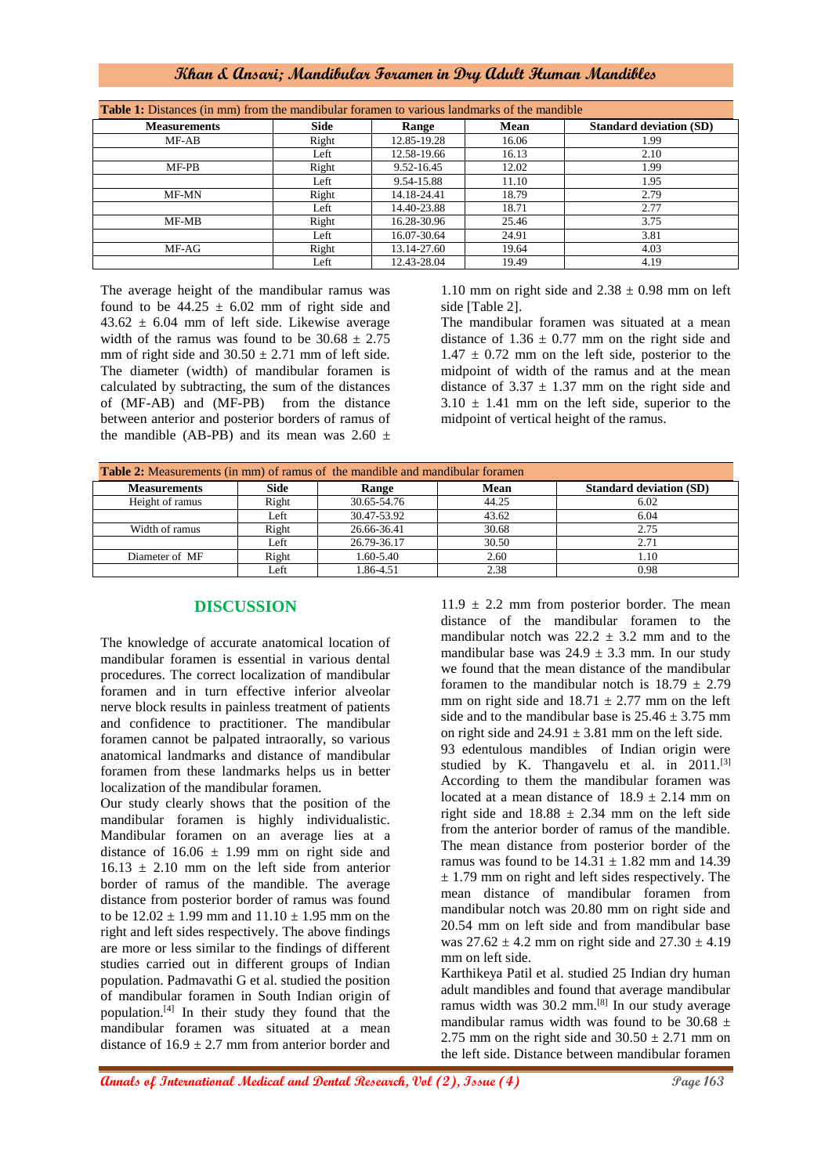# **Khan & Ansari; Mandibular Foramen in Dry Adult Human Mandibles**

| <b>Table 1:</b> Distances (in mm) from the mandibular foramen to various landmarks of the mandible |       |             |       |                                |  |  |
|----------------------------------------------------------------------------------------------------|-------|-------------|-------|--------------------------------|--|--|
| <b>Measurements</b>                                                                                | Side  | Range       | Mean  | <b>Standard deviation (SD)</b> |  |  |
| MF-AB                                                                                              | Right | 12.85-19.28 | 16.06 | 1.99                           |  |  |
|                                                                                                    | Left  | 12.58-19.66 | 16.13 | 2.10                           |  |  |
| $MF-PB$                                                                                            | Right | 9.52-16.45  | 12.02 | 1.99                           |  |  |
|                                                                                                    | Left  | 9.54-15.88  | 11.10 | 1.95                           |  |  |
| MF-MN                                                                                              | Right | 14.18-24.41 | 18.79 | 2.79                           |  |  |
|                                                                                                    | Left  | 14.40-23.88 | 18.71 | 2.77                           |  |  |
| MF-MB                                                                                              | Right | 16.28-30.96 | 25.46 | 3.75                           |  |  |
|                                                                                                    | Left  | 16.07-30.64 | 24.91 | 3.81                           |  |  |
| MF-AG                                                                                              | Right | 13.14-27.60 | 19.64 | 4.03                           |  |  |
|                                                                                                    | Left  | 12.43-28.04 | 19.49 | 4.19                           |  |  |

The average height of the mandibular ramus was found to be  $44.25 \pm 6.02$  mm of right side and  $43.62 \pm 6.04$  mm of left side. Likewise average width of the ramus was found to be  $30.68 \pm 2.75$ mm of right side and  $30.50 \pm 2.71$  mm of left side. The diameter (width) of mandibular foramen is calculated by subtracting, the sum of the distances of (MF-AB) and (MF-PB) from the distance between anterior and posterior borders of ramus of the mandible (AB-PB) and its mean was 2.60  $\pm$ 

1.10 mm on right side and  $2.38 \pm 0.98$  mm on left side [Table 2].

The mandibular foramen was situated at a mean distance of  $1.36 \pm 0.77$  mm on the right side and  $1.47 \pm 0.72$  mm on the left side, posterior to the midpoint of width of the ramus and at the mean distance of  $3.37 \pm 1.37$  mm on the right side and  $3.10 \pm 1.41$  mm on the left side, superior to the midpoint of vertical height of the ramus.

| <b>Table 2:</b> Measurements (in mm) of ramus of the mandible and mandibular foramen |             |             |       |                                |  |  |
|--------------------------------------------------------------------------------------|-------------|-------------|-------|--------------------------------|--|--|
| <b>Measurements</b>                                                                  | <b>Side</b> | Range       | Mean  | <b>Standard deviation (SD)</b> |  |  |
| Height of ramus                                                                      | Right       | 30.65-54.76 | 44.25 | 6.02                           |  |  |
|                                                                                      | Left        | 30.47-53.92 | 43.62 | 6.04                           |  |  |
| Width of ramus                                                                       | Right       | 26.66-36.41 | 30.68 | 2.75                           |  |  |
|                                                                                      | Left        | 26.79-36.17 | 30.50 | 2.71                           |  |  |
| Diameter of MF                                                                       | Right       | 1.60-5.40   | 2.60  | 1.10                           |  |  |
|                                                                                      | Left        | 1.86-4.51   | 2.38  | 0.98                           |  |  |

## **DISCUSSION**

The knowledge of accurate anatomical location of mandibular foramen is essential in various dental procedures. The correct localization of mandibular foramen and in turn effective inferior alveolar nerve block results in painless treatment of patients and confidence to practitioner. The mandibular foramen cannot be palpated intraorally, so various anatomical landmarks and distance of mandibular foramen from these landmarks helps us in better localization of the mandibular foramen.

Our study clearly shows that the position of the mandibular foramen is highly individualistic. Mandibular foramen on an average lies at a distance of  $16.06 \pm 1.99$  mm on right side and  $16.13 \pm 2.10$  mm on the left side from anterior border of ramus of the mandible. The average distance from posterior border of ramus was found to be  $12.02 \pm 1.99$  mm and  $11.10 \pm 1.95$  mm on the right and left sides respectively. The above findings are more or less similar to the findings of different studies carried out in different groups of Indian population. Padmavathi G et al. studied the position of mandibular foramen in South Indian origin of population.[4] In their study they found that the mandibular foramen was situated at a mean distance of  $16.9 \pm 2.7$  mm from anterior border and

 $11.9 \pm 2.2$  mm from posterior border. The mean distance of the mandibular foramen to the mandibular notch was  $22.2 \pm 3.2$  mm and to the mandibular base was  $24.9 \pm 3.3$  mm. In our study we found that the mean distance of the mandibular foramen to the mandibular notch is  $18.79 \pm 2.79$ mm on right side and  $18.71 \pm 2.77$  mm on the left side and to the mandibular base is  $25.46 \pm 3.75$  mm on right side and  $24.91 \pm 3.81$  mm on the left side. 93 edentulous mandibles of Indian origin were studied by K. Thangavelu et al. in 2011.<sup>[3]</sup> According to them the mandibular foramen was located at a mean distance of  $18.9 \pm 2.14$  mm on right side and  $18.88 \pm 2.34$  mm on the left side from the anterior border of ramus of the mandible. The mean distance from posterior border of the ramus was found to be  $14.31 \pm 1.82$  mm and 14.39  $\pm$  1.79 mm on right and left sides respectively. The mean distance of mandibular foramen from mandibular notch was 20.80 mm on right side and 20.54 mm on left side and from mandibular base was  $27.62 \pm 4.2$  mm on right side and  $27.30 \pm 4.19$ mm on left side.

Karthikeya Patil et al. studied 25 Indian dry human adult mandibles and found that average mandibular ramus width was 30.2 mm.[8] In our study average mandibular ramus width was found to be  $30.68 \pm$ 2.75 mm on the right side and  $30.50 \pm 2.71$  mm on the left side. Distance between mandibular foramen